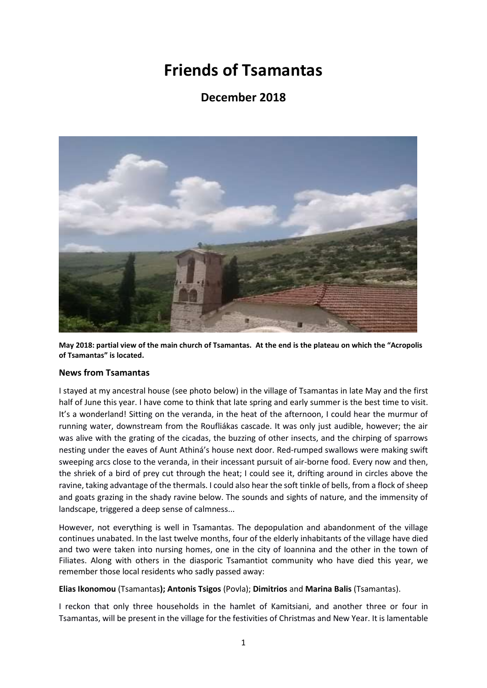## **Friends of Tsamantas**

### **December 2018**



**May 2018: partial view of the main church of Tsamantas. At the end is the plateau on which the "Acropolis of Tsamantas" is located.**

#### **News from Tsamantas**

I stayed at my ancestral house (see photo below) in the village of Tsamantas in late May and the first half of June this year. I have come to think that late spring and early summer is the best time to visit. It's a wonderland! Sitting on the veranda, in the heat of the afternoon, I could hear the murmur of running water, downstream from the Roufliákas cascade. It was only just audible, however; the air was alive with the grating of the cicadas, the buzzing of other insects, and the chirping of sparrows nesting under the eaves of Aunt Athiná's house next door. Red-rumped swallows were making swift sweeping arcs close to the veranda, in their incessant pursuit of air-borne food. Every now and then, the shriek of a bird of prey cut through the heat; I could see it, drifting around in circles above the ravine, taking advantage of the thermals. I could also hear the soft tinkle of bells, from a flock of sheep and goats grazing in the shady ravine below. The sounds and sights of nature, and the immensity of landscape, triggered a deep sense of calmness...

However, not everything is well in Tsamantas. The depopulation and abandonment of the village continues unabated. In the last twelve months, four of the elderly inhabitants of the village have died and two were taken into nursing homes, one in the city of Ioannina and the other in the town of Filiates. Along with others in the diasporic Tsamantiot community who have died this year, we remember those local residents who sadly passed away:

#### **Elias Ikonomou** (Tsamantas**); Antonis Tsigos** (Povla); **Dimitrios** and **Marina Balis** (Tsamantas).

I reckon that only three households in the hamlet of Kamitsiani, and another three or four in Tsamantas, will be present in the village for the festivities of Christmas and New Year. It is lamentable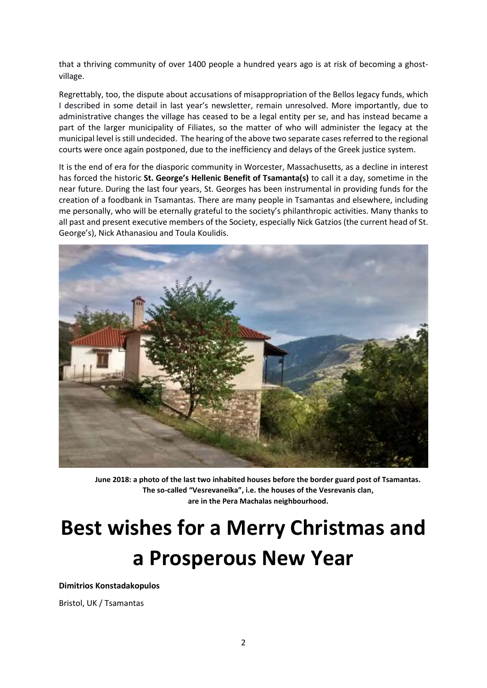that a thriving community of over 1400 people a hundred years ago is at risk of becoming a ghostvillage.

Regrettably, too, the dispute about accusations of misappropriation of the Bellos legacy funds, which I described in some detail in last year's newsletter, remain unresolved. More importantly, due to administrative changes the village has ceased to be a legal entity per se, and has instead became a part of the larger municipality of Filiates, so the matter of who will administer the legacy at the municipal level is still undecided. The hearing of the above two separate cases referred to the regional courts were once again postponed, due to the inefficiency and delays of the Greek justice system.

It is the end of era for the diasporic community in Worcester, Massachusetts, as a decline in interest has forced the historic **St. George's Hellenic Benefit of Tsamanta(s)** to call it a day, sometime in the near future. During the last four years, St. Georges has been instrumental in providing funds for the creation of a foodbank in Tsamantas. There are many people in Tsamantas and elsewhere, including me personally, who will be eternally grateful to the society's philanthropic activities. Many thanks to all past and present executive members of the Society, especially Nick Gatzios (the current head of St. George's), Nick Athanasiou and Toula Koulidis.

![](_page_1_Picture_3.jpeg)

**June 2018: a photo of the last two inhabited houses before the border guard post of Tsamantas. The so-called "Vesrevaneïka", i.e. the houses of the Vesrevanis clan, are in the Pera Machalas neighbourhood.**

# **Best wishes for a Merry Christmas and a Prosperous New Year**

**Dimitrios Konstadakopulos**

Bristol, UK / Tsamantas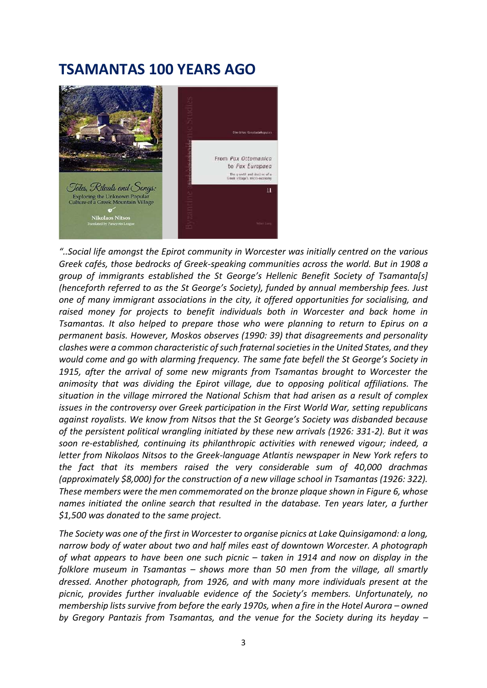## **TSAMANTAS 100 YEARS AGO**

![](_page_2_Picture_1.jpeg)

*"..Social life amongst the Epirot community in Worcester was initially centred on the various Greek cafés, those bedrocks of Greek-speaking communities across the world. But in 1908 a group of immigrants established the St George's Hellenic Benefit Society of Tsamanta[s] (henceforth referred to as the St George's Society), funded by annual membership fees. Just one of many immigrant associations in the city, it offered opportunities for socialising, and raised money for projects to benefit individuals both in Worcester and back home in Tsamantas. It also helped to prepare those who were planning to return to Epirus on a permanent basis. However, Moskos observes (1990: 39) that disagreements and personality clashes were a common characteristic of such fraternal societies in the United States, and they would come and go with alarming frequency. The same fate befell the St George's Society in 1915, after the arrival of some new migrants from Tsamantas brought to Worcester the animosity that was dividing the Epirot village, due to opposing political affiliations. The situation in the village mirrored the National Schism that had arisen as a result of complex issues in the controversy over Greek participation in the First World War, setting republicans against royalists. We know from Nitsos that the St George's Society was disbanded because of the persistent political wrangling initiated by these new arrivals (1926: 331-2). But it was soon re-established, continuing its philanthropic activities with renewed vigour; indeed, a letter from Nikolaos Nitsos to the Greek-language Atlantis newspaper in New York refers to the fact that its members raised the very considerable sum of 40,000 drachmas (approximately \$8,000) for the construction of a new village school in Tsamantas (1926: 322). These members were the men commemorated on the bronze plaque shown in Figure 6, whose names initiated the online search that resulted in the database. Ten years later, a further \$1,500 was donated to the same project.*

*The Society was one of the first in Worcester to organise picnics at Lake Quinsigamond: a long, narrow body of water about two and half miles east of downtown Worcester. A photograph of what appears to have been one such picnic – taken in 1914 and now on display in the folklore museum in Tsamantas – shows more than 50 men from the village, all smartly dressed. Another photograph, from 1926, and with many more individuals present at the picnic, provides further invaluable evidence of the Society's members. Unfortunately, no membership lists survive from before the early 1970s, when a fire in the Hotel Aurora – owned by Gregory Pantazis from Tsamantas, and the venue for the Society during its heyday –*